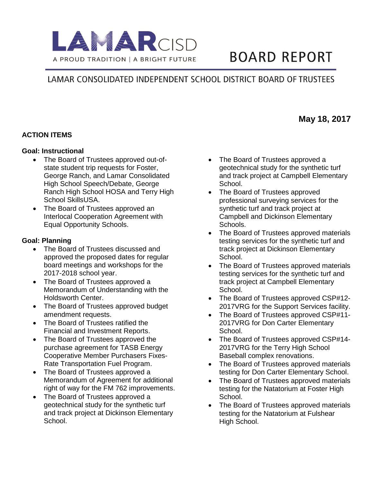

# **BOARD REPORT**

## LAMAR CONSOLIDATED INDEPENDENT SCHOOL DISTRICT BOARD OF TRUSTEES

#### **ACTION ITEMS**

#### **Goal: Instructional**

- The Board of Trustees approved out-ofstate student trip requests for Foster, George Ranch, and Lamar Consolidated High School Speech/Debate, George Ranch High School HOSA and Terry High School SkillsUSA.
- The Board of Trustees approved an Interlocal Cooperation Agreement with Equal Opportunity Schools.

#### **Goal: Planning**

- The Board of Trustees discussed and approved the proposed dates for regular board meetings and workshops for the 2017-2018 school year.
- The Board of Trustees approved a Memorandum of Understanding with the Holdsworth Center.
- The Board of Trustees approved budget amendment requests.
- The Board of Trustees ratified the Financial and Investment Reports.
- The Board of Trustees approved the purchase agreement for TASB Energy Cooperative Member Purchasers Fixes-Rate Transportation Fuel Program.
- The Board of Trustees approved a Memorandum of Agreement for additional right of way for the FM 762 improvements.
- The Board of Trustees approved a geotechnical study for the synthetic turf and track project at Dickinson Elementary School.
- The Board of Trustees approved a geotechnical study for the synthetic turf and track project at Campbell Elementary School.
- The Board of Trustees approved professional surveying services for the synthetic turf and track project at Campbell and Dickinson Elementary Schools.
- The Board of Trustees approved materials testing services for the synthetic turf and track project at Dickinson Elementary School.
- The Board of Trustees approved materials testing services for the synthetic turf and track project at Campbell Elementary School.
- The Board of Trustees approved CSP#12-2017VRG for the Support Services facility.
- The Board of Trustees approved CSP#11-2017VRG for Don Carter Elementary School.
- The Board of Trustees approved CSP#14-2017VRG for the Terry High School Baseball complex renovations.
- The Board of Trustees approved materials testing for Don Carter Elementary School.
- The Board of Trustees approved materials testing for the Natatorium at Foster High School.
- The Board of Trustees approved materials testing for the Natatorium at Fulshear High School.

### **May 18, 2017**